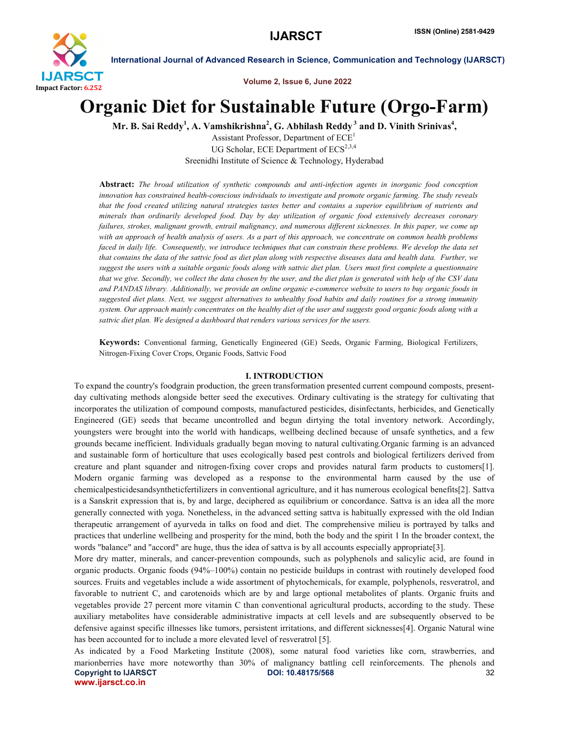

Volume 2, Issue 6, June 2022

# Organic Diet for Sustainable Future (Orgo-Farm)

Mr. B. Sai Reddy $^1$ , A. Vamshikrishna $^2$ , G. Abhilash Reddy $^3$  and D. Vinith Srinivas $^4,$ 

Assistant Professor, Department of ECE<sup>1</sup> UG Scholar, ECE Department of  $ECS^{2,3,4}$ Sreenidhi Institute of Science & Technology, Hyderabad

Abstract: *The broad utilization of synthetic compounds and anti-infection agents in inorganic food conception innovation has constrained health-conscious individuals to investigate and promote organic farming. The study reveals that the food created utilizing natural strategies tastes better and contains a superior equilibrium of nutrients and minerals than ordinarily developed food. Day by day utilization of organic food extensively decreases coronary failures, strokes, malignant growth, entrail malignancy, and numerous different sicknesses. In this paper, we come up with an approach of health analysis of users. As a part of this approach, we concentrate on common health problems faced in daily life. Consequently, we introduce techniques that can constrain these problems. We develop the data set that contains the data of the sattvic food as diet plan along with respective diseases data and health data. Further, we suggest the users with a suitable organic foods along with sattvic diet plan. Users must first complete a questionnaire that we give. Secondly, we collect the data chosen by the user, and the diet plan is generated with help of the CSV data and PANDAS library. Additionally, we provide an online organic e-commerce website to users to buy organic foods in suggested diet plans. Next, we suggest alternatives to unhealthy food habits and daily routines for a strong immunity system. Our approach mainly concentrates on the healthy diet of the user and suggests good organic foods along with a sattvic diet plan. We designed a dashboard that renders various services for the users.*

Keywords: Conventional farming, Genetically Engineered (GE) Seeds, Organic Farming, Biological Fertilizers, Nitrogen-Fixing Cover Crops, Organic Foods, Sattvic Food

#### I. INTRODUCTION

To expand the country's foodgrain production, the green transformation presented current compound composts, presentday cultivating methods alongside better seed the executives. Ordinary cultivating is the strategy for cultivating that incorporates the utilization of compound composts, manufactured pesticides, disinfectants, herbicides, and Genetically Engineered (GE) seeds that became uncontrolled and begun dirtying the total inventory network. Accordingly, youngsters were brought into the world with handicaps, wellbeing declined because of unsafe synthetics, and a few grounds became inefficient. Individuals gradually began moving to natural cultivating.Organic farming is an advanced and sustainable form of horticulture that uses ecologically based pest controls and biological fertilizers derived from creature and plant squander and nitrogen-fixing cover crops and provides natural farm products to customers[1]. Modern organic farming was developed as a response to the environmental harm caused by the use of chemicalpesticidesandsyntheticfertilizers in conventional agriculture, and it has numerous ecological benefits[2]. Sattva is a Sanskrit expression that is, by and large, deciphered as equilibrium or concordance. Sattva is an idea all the more generally connected with yoga. Nonetheless, in the advanced setting sattva is habitually expressed with the old Indian therapeutic arrangement of ayurveda in talks on food and diet. The comprehensive milieu is portrayed by talks and practices that underline wellbeing and prosperity for the mind, both the body and the spirit 1 In the broader context, the words "balance" and "accord" are huge, thus the idea of sattva is by all accounts especially appropriate[3].

More dry matter, minerals, and cancer-prevention compounds, such as polyphenols and salicylic acid, are found in organic products. Organic foods (94%–100%) contain no pesticide buildups in contrast with routinely developed food sources. Fruits and vegetables include a wide assortment of phytochemicals, for example, polyphenols, resveratrol, and favorable to nutrient C, and carotenoids which are by and large optional metabolites of plants. Organic fruits and vegetables provide 27 percent more vitamin C than conventional agricultural products, according to the study. These auxiliary metabolites have considerable administrative impacts at cell levels and are subsequently observed to be defensive against specific illnesses like tumors, persistent irritations, and different sicknesses[4]. Organic Natural wine has been accounted for to include a more elevated level of resveratrol [5].

Copyright to IJARSCTDOI: 10.48175/568 **32** www.ijarsct.co.in As indicated by a Food Marketing Institute (2008), some natural food varieties like corn, strawberries, and marionberries have more noteworthy than 30% of malignancy battling cell reinforcements. The phenols and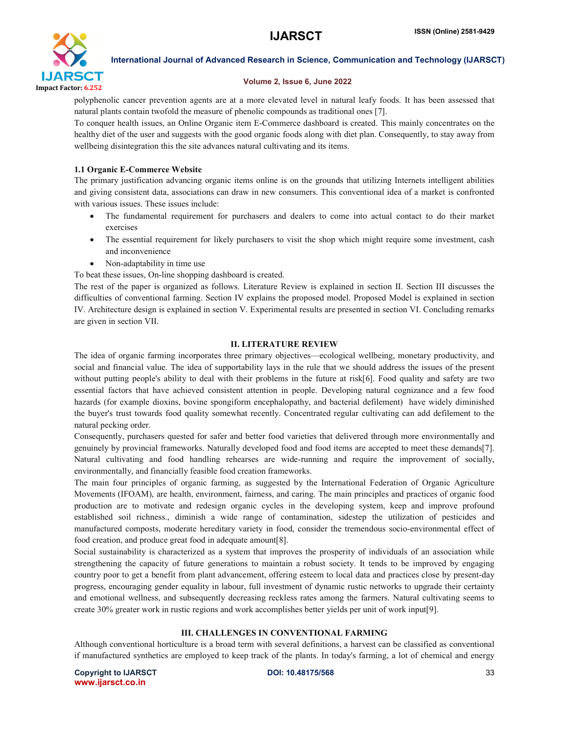

#### Volume 2, Issue 6, June 2022

polyphenolic cancer prevention agents are at a more elevated level in natural leafy foods. It has been assessed that natural plants contain twofold the measure of phenolic compounds as traditional ones [7].

To conquer health issues, an Online Organic item E-Commerce dashboard is created. This mainly concentrates on the healthy diet of the user and suggests with the good organic foods along with diet plan. Consequently, to stay away from wellbeing disintegration this the site advances natural cultivating and its items.

### 1.1 Organic E-Commerce Website

The primary justification advancing organic items online is on the grounds that utilizing Internets intelligent abilities and giving consistent data, associations can draw in new consumers. This conventional idea of a market is confronted with various issues. These issues include:

- The fundamental requirement for purchasers and dealers to come into actual contact to do their market exercises
- The essential requirement for likely purchasers to visit the shop which might require some investment, cash and inconvenience
- Non-adaptability in time use

To beat these issues, On-line shopping dashboard is created.

The rest of the paper is organized as follows. Literature Review is explained in section II. Section III discusses the difficulties of conventional farming. Section IV explains the proposed model. Proposed Model is explained in section IV. Architecture design is explained in section V. Experimental results are presented in section VI. Concluding remarks are given in section VII.

### II. LITERATURE REVIEW

The idea of organic farming incorporates three primary objectives—ecological wellbeing, monetary productivity, and social and financial value. The idea of supportability lays in the rule that we should address the issues of the present without putting people's ability to deal with their problems in the future at risk[6]. Food quality and safety are two essential factors that have achieved consistent attention in people. Developing natural cognizance and a few food hazards (for example dioxins, bovine spongiform encephalopathy, and bacterial defilement) have widely diminished the buyer's trust towards food quality somewhat recently. Concentrated regular cultivating can add defilement to the natural pecking order.

Consequently, purchasers quested for safer and better food varieties that delivered through more environmentally and genuinely by provincial frameworks. Naturally developed food and food items are accepted to meet these demands[7]. Natural cultivating and food handling rehearses are wide-running and require the improvement of socially, environmentally, and financially feasible food creation frameworks.

The main four principles of organic farming, as suggested by the International Federation of Organic Agriculture Movements (IFOAM), are health, environment, fairness, and caring. The main principles and practices of organic food production are to motivate and redesign organic cycles in the developing system, keep and improve profound established soil richness., diminish a wide range of contamination, sidestep the utilization of pesticides and manufactured composts, moderate hereditary variety in food, consider the tremendous socio-environmental effect of food creation, and produce great food in adequate amount[8].

Social sustainability is characterized as a system that improves the prosperity of individuals of an association while strengthening the capacity of future generations to maintain a robust society. It tends to be improved by engaging country poor to get a benefit from plant advancement, offering esteem to local data and practices close by present-day progress, encouraging gender equality in labour, full investment of dynamic rustic networks to upgrade their certainty and emotional wellness, and subsequently decreasing reckless rates among the farmers. Natural cultivating seems to create 30% greater work in rustic regions and work accomplishes better yields per unit of work input[9].

### III. CHALLENGES IN CONVENTIONAL FARMING

Although conventional horticulture is a broad term with several definitions, a harvest can be classified as conventional if manufactured synthetics are employed to keep track of the plants. In today's farming, a lot of chemical and energy

Copyright to IJARSCTDOI: 10.48175/568 **33** www.ijarsct.co.in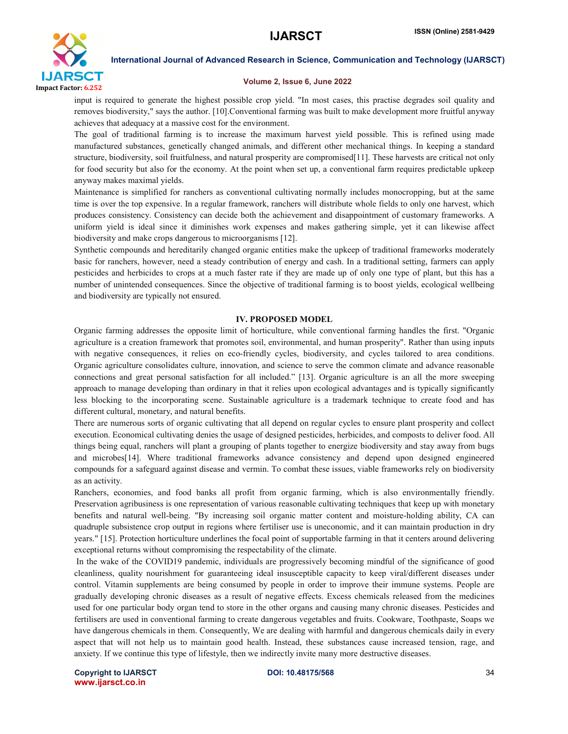

#### Volume 2, Issue 6, June 2022

input is required to generate the highest possible crop yield. "In most cases, this practise degrades soil quality and removes biodiversity," says the author. [10].Conventional farming was built to make development more fruitful anyway achieves that adequacy at a massive cost for the environment.

The goal of traditional farming is to increase the maximum harvest yield possible. This is refined using made manufactured substances, genetically changed animals, and different other mechanical things. In keeping a standard structure, biodiversity, soil fruitfulness, and natural prosperity are compromised[11]. These harvests are critical not only for food security but also for the economy. At the point when set up, a conventional farm requires predictable upkeep anyway makes maximal yields.

Maintenance is simplified for ranchers as conventional cultivating normally includes monocropping, but at the same time is over the top expensive. In a regular framework, ranchers will distribute whole fields to only one harvest, which produces consistency. Consistency can decide both the achievement and disappointment of customary frameworks. A uniform yield is ideal since it diminishes work expenses and makes gathering simple, yet it can likewise affect biodiversity and make crops dangerous to microorganisms [12].

Synthetic compounds and hereditarily changed organic entities make the upkeep of traditional frameworks moderately basic for ranchers, however, need a steady contribution of energy and cash. In a traditional setting, farmers can apply pesticides and herbicides to crops at a much faster rate if they are made up of only one type of plant, but this has a number of unintended consequences. Since the objective of traditional farming is to boost yields, ecological wellbeing and biodiversity are typically not ensured.

#### IV. PROPOSED MODEL

Organic farming addresses the opposite limit of horticulture, while conventional farming handles the first. "Organic agriculture is a creation framework that promotes soil, environmental, and human prosperity". Rather than using inputs with negative consequences, it relies on eco-friendly cycles, biodiversity, and cycles tailored to area conditions. Organic agriculture consolidates culture, innovation, and science to serve the common climate and advance reasonable connections and great personal satisfaction for all included." [13]. Organic agriculture is an all the more sweeping approach to manage developing than ordinary in that it relies upon ecological advantages and is typically significantly less blocking to the incorporating scene. Sustainable agriculture is a trademark technique to create food and has different cultural, monetary, and natural benefits.

There are numerous sorts of organic cultivating that all depend on regular cycles to ensure plant prosperity and collect execution. Economical cultivating denies the usage of designed pesticides, herbicides, and composts to deliver food. All things being equal, ranchers will plant a grouping of plants together to energize biodiversity and stay away from bugs and microbes[14]. Where traditional frameworks advance consistency and depend upon designed engineered compounds for a safeguard against disease and vermin. To combat these issues, viable frameworks rely on biodiversity as an activity.

Ranchers, economies, and food banks all profit from organic farming, which is also environmentally friendly. Preservation agribusiness is one representation of various reasonable cultivating techniques that keep up with monetary benefits and natural well-being. "By increasing soil organic matter content and moisture-holding ability, CA can quadruple subsistence crop output in regions where fertiliser use is uneconomic, and it can maintain production in dry years." [15]. Protection horticulture underlines the focal point of supportable farming in that it centers around delivering exceptional returns without compromising the respectability of the climate.

In the wake of the COVID19 pandemic, individuals are progressively becoming mindful of the significance of good cleanliness, quality nourishment for guaranteeing ideal insusceptible capacity to keep viral/different diseases under control. Vitamin supplements are being consumed by people in order to improve their immune systems. People are gradually developing chronic diseases as a result of negative effects. Excess chemicals released from the medicines used for one particular body organ tend to store in the other organs and causing many chronic diseases. Pesticides and fertilisers are used in conventional farming to create dangerous vegetables and fruits. Cookware, Toothpaste, Soaps we have dangerous chemicals in them. Consequently, We are dealing with harmful and dangerous chemicals daily in every aspect that will not help us to maintain good health. Instead, these substances cause increased tension, rage, and anxiety. If we continue this type of lifestyle, then we indirectly invite many more destructive diseases.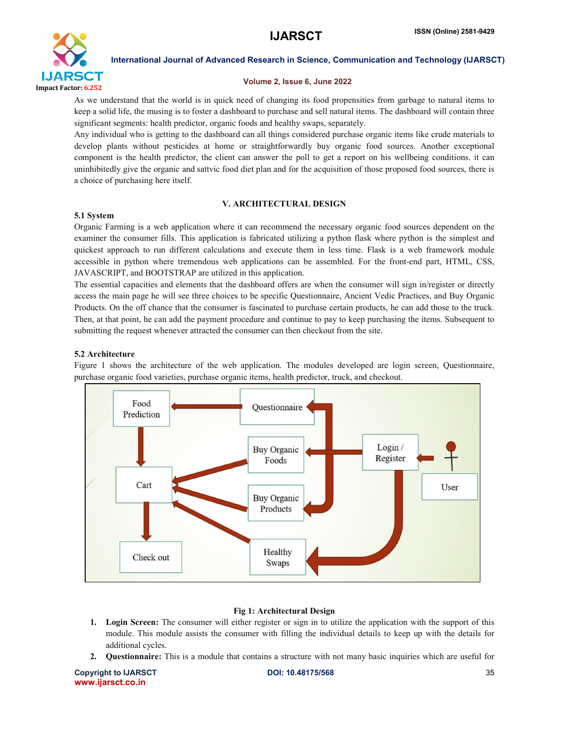

#### Volume 2, Issue 6, June 2022

As we understand that the world is in quick need of changing its food propensities from garbage to natural items to keep a solid life, the musing is to foster a dashboard to purchase and sell natural items. The dashboard will contain three significant segments: health predictor, organic foods and healthy swaps, separately.

Any individual who is getting to the dashboard can all things considered purchase organic items like crude materials to develop plants without pesticides at home or straightforwardly buy organic food sources. Another exceptional component is the health predictor, the client can answer the poll to get a report on his wellbeing conditions. it can uninhibitedly give the organic and sattvic food diet plan and for the acquisition of those proposed food sources, there is a choice of purchasing here itself.

### V. ARCHITECTURAL DESIGN

#### 5.1 System

Organic Farming is a web application where it can recommend the necessary organic food sources dependent on the examiner the consumer fills. This application is fabricated utilizing a python flask where python is the simplest and quickest approach to run different calculations and execute them in less time. Flask is a web framework module accessible in python where tremendous web applications can be assembled. For the front-end part, HTML, CSS, JAVASCRIPT, and BOOTSTRAP are utilized in this application.

The essential capacities and elements that the dashboard offers are when the consumer will sign in/register or directly access the main page he will see three choices to be specific Questionnaire, Ancient Vedic Practices, and Buy Organic Products. On the off chance that the consumer is fascinated to purchase certain products, he can add those to the truck. Then, at that point, he can add the payment procedure and continue to pay to keep purchasing the items. Subsequent to submitting the request whenever attracted the consumer can then checkout from the site.

#### 5.2 Architecture

Figure 1 shows the architecture of the web application. The modules developed are login screen, Questionnaire, purchase organic food varieties, purchase organic items, health predictor, truck, and checkout.



### Fig 1: Architectural Design

- 1. Login Screen: The consumer will either register or sign in to utilize the application with the support of this module. This module assists the consumer with filling the individual details to keep up with the details for additional cycles.
- 2. Questionnaire: This is a module that contains a structure with not many basic inquiries which are useful for

Copyright to IJARSCTDOI: 10.48175/568 **35** www.ijarsct.co.in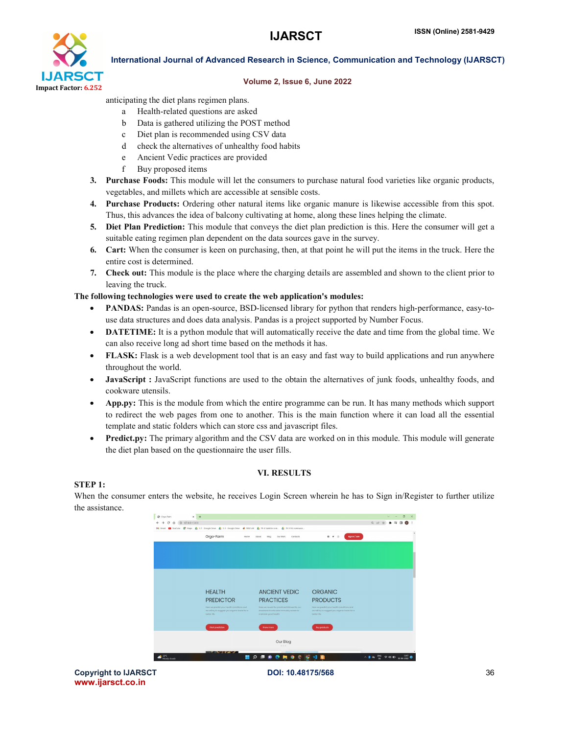

#### Volume 2, Issue 6, June 2022

anticipating the diet plans regimen plans.

- a Health-related questions are asked
- b Data is gathered utilizing the POST method
- c Diet plan is recommended using CSV data
- d check the alternatives of unhealthy food habits
- e Ancient Vedic practices are provided
- f Buy proposed items
- 3. Purchase Foods: This module will let the consumers to purchase natural food varieties like organic products, vegetables, and millets which are accessible at sensible costs.
- 4. Purchase Products: Ordering other natural items like organic manure is likewise accessible from this spot. Thus, this advances the idea of balcony cultivating at home, along these lines helping the climate.
- 5. Diet Plan Prediction: This module that conveys the diet plan prediction is this. Here the consumer will get a suitable eating regimen plan dependent on the data sources gave in the survey.
- 6. Cart: When the consumer is keen on purchasing, then, at that point he will put the items in the truck. Here the entire cost is determined.
- 7. Check out: This module is the place where the charging details are assembled and shown to the client prior to leaving the truck.

#### The following technologies were used to create the web application's modules:

- PANDAS: Pandas is an open-source, BSD-licensed library for python that renders high-performance, easy-touse data structures and does data analysis. Pandas is a project supported by Number Focus.
- DATETIME: It is a python module that will automatically receive the date and time from the global time. We can also receive long ad short time based on the methods it has.
- FLASK: Flask is a web development tool that is an easy and fast way to build applications and run anywhere throughout the world.
- JavaScript : JavaScript functions are used to the obtain the alternatives of junk foods, unhealthy foods, and cookware utensils.
- App.py: This is the module from which the entire programme can be run. It has many methods which support to redirect the web pages from one to another. This is the main function where it can load all the essential template and static folders which can store css and javascript files.
- Predict.py: The primary algorithm and the CSV data are worked on in this module. This module will generate the diet plan based on the questionnaire the user fills.

#### VI. RESULTS

#### STEP 1:

When the consumer enters the website, he receives Login Screen wherein he has to Sign in/Register to further utilize the assistance.

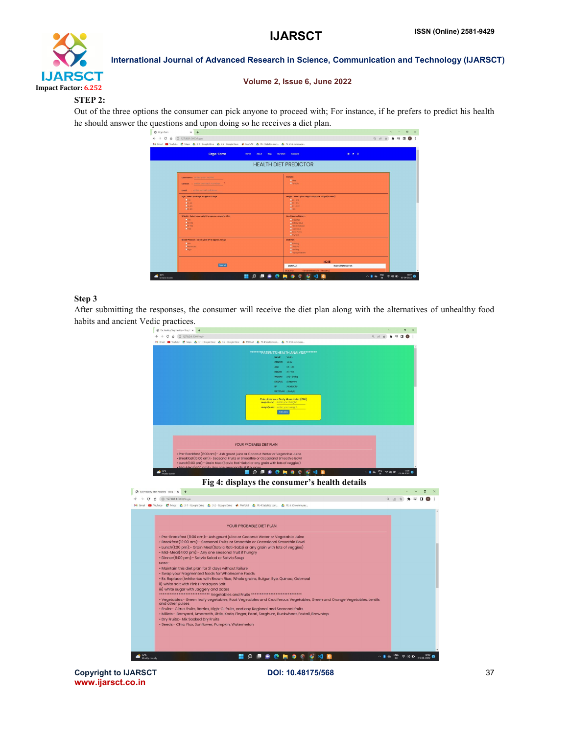

#### Volume 2, Issue 6, June 2022

#### STEP 2:

Out of the three options the consumer can pick anyone to proceed with; For instance, if he prefers to predict his health he should answer the questions and upon doing so he receives a diet plan.

| Orgo-Farm                                                                                    | 0 9 0<br><b>Contacts</b><br>Home<br><b>About</b><br><b>Blog</b><br>Our Work                                                                                  |
|----------------------------------------------------------------------------------------------|--------------------------------------------------------------------------------------------------------------------------------------------------------------|
| <b>HEALTH DIET PREDICTOR</b>                                                                 |                                                                                                                                                              |
| User nome: Onter your name<br>Contact : criter contact number<br>tmail : enter email address | Gender:<br><b>D</b> Male<br><b>Diamole</b>                                                                                                                   |
| Age : Select your age to approx. range<br>0.20.<br>$001 - 40$<br>$0.40 - 0.01$<br>$C = 611$  | Height: Select your height to approx. range(in Feets)<br>$-41 - 472$<br>$-51 - 56$<br>$957 - 52$<br>Dies of                                                  |
| Weight: Select your meight to approx. range(in KGs)<br>Octo.<br>064-80<br>081-100<br>Copper. | <b>Any Disease history:</b><br><b>Ediobetes</b><br><b>Didney Issue</b><br><b>CHeat Disease</b><br><b>Etiver</b> lesse<br><b>Date Foing</b><br><b>Emyroid</b> |
| Elcod Pressure : Select your EP to approx. range<br><b>DLOW</b><br>Moderche<br><b>CHION</b>  | Diet Plan:<br><b>Difulcing</b><br><b>Di</b> testolo<br><b>Disaling</b><br><b>Engoy Disease</b>                                                               |
|                                                                                              | <b>NOTE</b>                                                                                                                                                  |

#### Step 3

After submitting the responses, the consumer will receive the diet plan along with the alternatives of unhealthy food habits and ancient Vedic practices.



www.ijarsct.co.in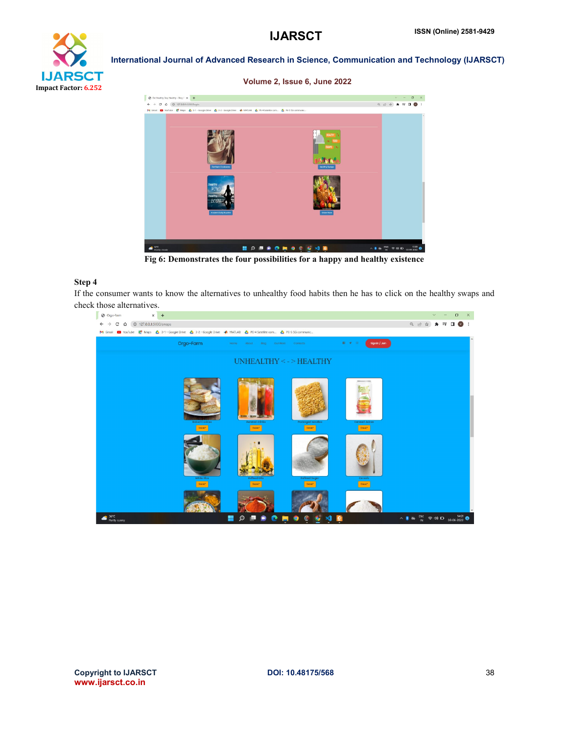



Fig 6: Demonstrates the four possibilities for a happy and healthy existence

#### Step 4

If the consumer wants to know the alternatives to unhealthy food habits then he has to click on the healthy swaps and check those alternatives.

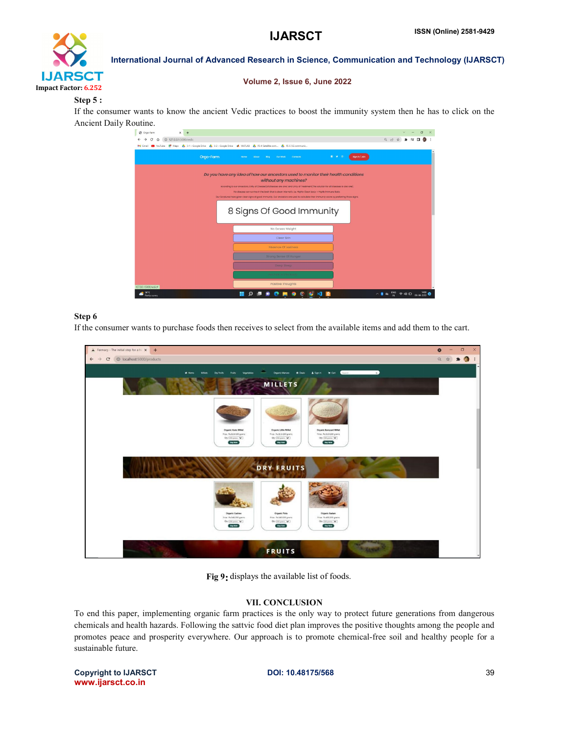## **IJARSCT**



International Journal of Advanced Research in Science, Communication and Technology (IJARSCT)

#### Volume 2, Issue 6, June 2022

### Step 5 :

If the consumer wants to know the ancient Vedic practices to boost the immunity system then he has to click on the Ancient Daily Routine.



### Step 6

If the consumer wants to purchase foods then receives to select from the available items and add them to the cart.



Fig 9 9: displays the available list of foods.

#### VII. CONCLUSION

To end this paper, implementing organic farm practices is the only way to protect future generations from dangerous To end this paper, implementing organic farm practices is the only way to protect future generations from dangerous chemicals and health hazards. Following the sattvic food diet plan improves the positive thoughts among th promotes peace and prosperity everywhere. Our approach is to promote chemical-free soil and healthy people for a sustainable future.

Copyright to IJARSCT www.ijarsct.co.in